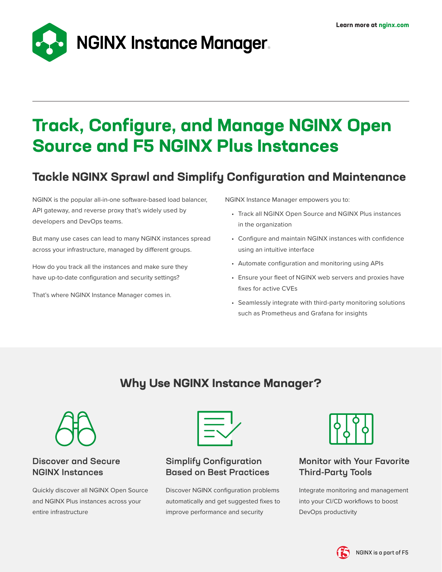

# **Track, Configure, and Manage NGINX Open Source and F5 NGINX Plus Instances**

# **Tackle NGINX Sprawl and Simplify Configuration and Maintenance**

NGINX is the popular all-in-one software-based load balancer, API gateway, and reverse proxy that's widely used by developers and DevOps teams.

But many use cases can lead to many NGINX instances spread across your infrastructure, managed by different groups.

How do you track all the instances and make sure they have up-to-date configuration and security settings?

That's where NGINX Instance Manager comes in.

NGINX Instance Manager empowers you to:

- Track all NGINX Open Source and NGINX Plus instances in the organization
- Configure and maintain NGINX instances with confidence using an intuitive interface
- Automate configuration and monitoring using APIs
- Ensure your fleet of NGINX web servers and proxies have fixes for active CVEs
- Seamlessly integrate with third-party monitoring solutions such as Prometheus and Grafana for insights

# **Why Use NGINX Instance Manager?**



### Discover and Secure NGINX Instances

Quickly discover all NGINX Open Source and NGINX Plus instances across your entire infrastructure



## Simplify Configuration Based on Best Practices

Discover NGINX configuration problems automatically and get suggested fixes to improve performance and security



## Monitor with Your Favorite Third‑Party Tools

Integrate monitoring and management into your CI/CD workflows to boost DevOps productivity